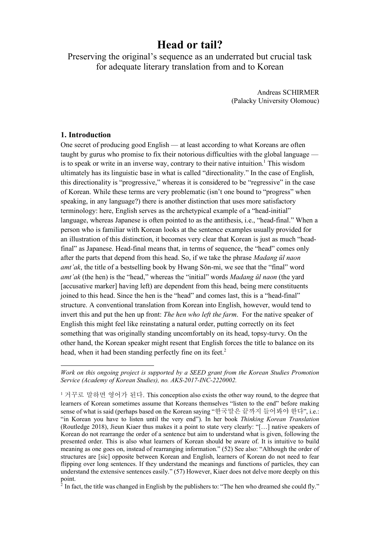# **Head or tail?**

Preserving the original's sequence as an underrated but crucial task for adequate literary translation from and to Korean

> Andreas SCHIRMER (Palacky University Olomouc)

## **1. Introduction**

-

One secret of producing good English — at least according to what Koreans are often taught by gurus who promise to fix their notorious difficulties with the global language is to speak or write in an inverse way, contrary to their native intuition.<sup>1</sup> This wisdom ultimately has its linguistic base in what is called "directionality." In the case of English, this directionality is "progressive," whereas it is considered to be "regressive" in the case of Korean. While these terms are very problematic (isn't one bound to "progress" when speaking, in any language?) there is another distinction that uses more satisfactory terminology: here, English serves as the archetypical example of a "head-initial" language, whereas Japanese is often pointed to as the antithesis, i.e., "head-final." When a person who is familiar with Korean looks at the sentence examples usually provided for an illustration of this distinction, it becomes very clear that Korean is just as much "headfinal" as Japanese. Head-final means that, in terms of sequence, the "head" comes only after the parts that depend from this head. So, if we take the phrase *Madang ŭl naon amt'ak*, the title of a bestselling book by Hwang Sŏn-mi, we see that the "final" word *amt'ak* (the hen) is the "head," whereas the "initial" words *Madang ŭl naon* (the yard [accusative marker] having left) are dependent from this head, being mere constituents joined to this head. Since the hen is the "head" and comes last, this is a "head-final" structure. A conventional translation from Korean into English, however, would tend to invert this and put the hen up front: *The hen who left the farm*. For the native speaker of English this might feel like reinstating a natural order, putting correctly on its feet something that was originally standing uncomfortably on its head, topsy-turvy. On the other hand, the Korean speaker might resent that English forces the title to balance on its head, when it had been standing perfectly fine on its feet.<sup>2</sup>

 $^2$  In fact, the title was changed in English by the publishers to: "The hen who dreamed she could fly."

*Work on this ongoing project is supported by a SEED grant from the Korean Studies Promotion Service (Academy of Korean Studies), no. AKS-2017-INC-2220002.*

<sup>1</sup> 거꾸로 말하면 영어가 된다. This conception also exists the other way round, to the degree that learners of Korean sometimes assume that Koreans themselves "listen to the end" before making sense of what is said (perhaps based on the Korean saying "한국말은 끝까지 들어봐야 한다", i.e.: "in Korean you have to listen until the very end"). In her book *Thinking Korean Translation* (Routledge 2018), Jieun Kiaer thus makes it a point to state very clearly: "[…] native speakers of Korean do not rearrange the order of a sentence but aim to understand what is given, following the presented order. This is also what learners of Korean should be aware of. It is intuitive to build meaning as one goes on, instead of rearranging information." (52) See also: "Although the order of structures are [sic] opposite between Korean and English, learners of Korean do not need to fear flipping over long sentences. If they understand the meanings and functions of particles, they can understand the extensive sentences easily." (57) However, Kiaer does not delve more deeply on this point.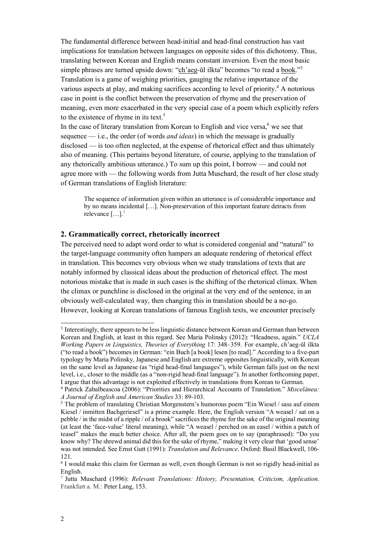The fundamental difference between head-initial and head-final construction has vast implications for translation between languages on opposite sides of this dichotomy. Thus, translating between Korean and English means constant inversion. Even the most basic simple phrases are turned upside down: "ch'aeg-ŭl ilkta" becomes "to read a book."3 Translation is a game of weighing priorities, gauging the relative importance of the various aspects at play, and making sacrifices according to level of priority.<sup>4</sup> A notorious case in point is the conflict between the preservation of rhyme and the preservation of meaning, even more exacerbated in the very special case of a poem which explicitly refers to the existence of rhyme in its text. 5

In the case of literary translation from Korean to English and vice versa,<sup>6</sup> we see that sequence — i.e., the order (of words *and ideas*) in which the message is gradually disclosed — is too often neglected, at the expense of rhetorical effect and thus ultimately also of meaning. (This pertains beyond literature, of course, applying to the translation of any rhetorically ambitious utterance.) To sum up this point, I borrow — and could not agree more with — the following words from Jutta Muschard, the result of her close study of German translations of English literature:

The sequence of information given within an utterance is of considerable importance and by no means incidental […]. Non-preservation of this important feature detracts from relevance  $[\dots]$ <sup>7</sup>

## **2. Grammatically correct, rhetorically incorrect**

The perceived need to adapt word order to what is considered congenial and "natural" to the target-language community often hampers an adequate rendering of rhetorical effect in translation. This becomes very obvious when we study translations of texts that are notably informed by classical ideas about the production of rhetorical effect. The most notorious mistake that is made in such cases is the shifting of the rhetorical climax. When the climax or punchline is disclosed in the original at the very end of the sentence, in an obviously well-calculated way, then changing this in translation should be a no-go. However, looking at Korean translations of famous English texts, we encounter precisely

 <sup>3</sup> Interestingly, there appears to be less linguistic distance between Korean and German than between Korean and English, at least in this regard. See Maria Polinsky (2012): "Headness, again." *UCLA Working Papers in Linguistics, Theories of Everything* 17: 348–359. For example, ch'aeg-ŭl ilkta ("to read a book") becomes in German: "ein Buch [a book] lesen [to read]." According to a five-part typology by Maria Polinsky, Japanese and English are extreme opposites linguistically, with Korean on the same level as Japanese (as "rigid head-final languages"), while German falls just on the next level, i.e., closer to the middle (as a "non-rigid head-final language"). In another forthcoming paper, I argue that this advantage is not exploited effectively in translations from Korean to German. 4 Patrick Zabalbeascoa (2006): "Priorities and Hierarchical Accounts of Translation." *Miscelánea:* 

*A Journal of English and American Studies* 33: 89-103.

<sup>&</sup>lt;sup>5</sup> The problem of translating Christian Morgenstern's humorous poem "Ein Wiesel / sass auf einem Kiesel / inmitten Bachgeriesel" is a prime example. Here, the English version "A weasel / sat on a pebble / in the midst of a ripple / of a brook" sacrifices the rhyme for the sake of the original meaning (at least the 'face-value' literal meaning), while "A weasel / perched on an easel / within a patch of teasel" makes the much better choice. After all, the poem goes on to say (paraphrased): "Do you know why? The shrewd animal did this for the sake of rhyme," making it very clear that 'good sense' was not intended. See Ernst Gutt (1991): *Translation and Relevance*. Oxford: Basil Blackwell, 106- 121.

<sup>&</sup>lt;sup>6</sup> I would make this claim for German as well, even though German is not so rigidly head-initial as English.

<sup>7</sup> Jutta Muschard (1996): *Relevant Translations: History, Presentation, Criticism, Application*. Frankfurt a. M.: Peter Lang, 153.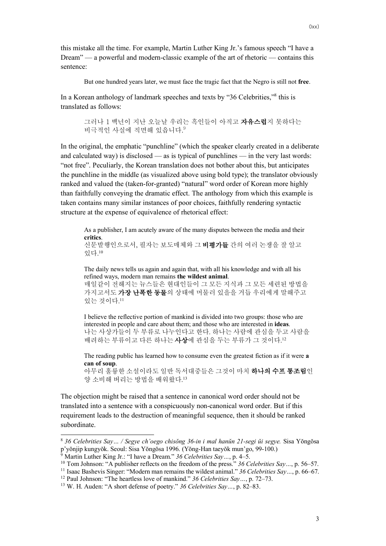this mistake all the time. For example, Martin Luther King Jr.'s famous speech "I have a Dream" — a powerful and modern-classic example of the art of rhetoric — contains this sentence:

But one hundred years later, we must face the tragic fact that the Negro is still not **free**.

In a Korean anthology of landmark speeches and texts by "36 Celebrities,"<sup>8</sup> this is translated as follows:

> 그러나 1 백년이 지난 오늘날 우리는 흑인들이 아직고 자유스럽지 못하다는 비극적인 사실에 직면해 있읍니다. 9

In the original, the emphatic "punchline" (which the speaker clearly created in a deliberate and calculated way) is disclosed — as is typical of punchlines — in the very last words: "not free". Peculiarly, the Korean translation does not bother about this, but anticipates the punchline in the middle (as visualized above using bold type); the translator obviously ranked and valued the (taken-for-granted) "natural" word order of Korean more highly than faithfully conveying the dramatic effect. The anthology from which this example is taken contains many similar instances of poor choices, faithfully rendering syntactic structure at the expense of equivalence of rhetorical effect:

As a publisher, I am acutely aware of the many disputes between the media and their **critics**.

신문발행인으로서, 필자는 보도매체와 그 비평가들 간의 여러 논쟁을 잘 알고 있다. 10

The daily news tells us again and again that, with all his knowledge and with all his refined ways, modern man remains **the wildest animal**. 매일같이 전해지는 뉴스들은 현대인들이 그 모든 지식과 그 모든 세련된 방법을

가지고서도 **가장 난폭한 동물**의 상태에 머물러 있을을 거듭 우리에게 말해주고 있는 것이다. 11

I believe the reflective portion of mankind is divided into two groups: those who are interested in people and care about them; and those who are interested in **ideas**. 나는 사상가들이 두 부류로 나누인다고 한다. 하나는 사람에 관심을 두고 사람을 배려하는 부류이고 다른 하나는 **사상**에 관심을 두는 부류가 그 것이다.<sup>12</sup>

The reading public has learned how to consume even the greatest fiction as if it were **a can of soup**.

아무리 훌륭한 소설이라도 일반 독서대중들은 그것이 마치 하나의 수프 통조림인 양 소비해 버리는 방법을 배워왔다. 13

The objection might be raised that a sentence in canonical word order should not be translated into a sentence with a conspicuously non-canonical word order. But if this requirement leads to the destruction of meaningful sequence, then it should be ranked subordinate.

 <sup>8</sup> *36 Celebrities Say… / Segye ch'oego chisŏng 36-in i mal hanŭn 21-segi ŭi segye.* Sisa Yŏngŏsa p'yŏnjip kungyŏk. Seoul: Sisa Yŏngŏsa 1996. (Yŏng-Han taeyŏk mun'go, 99-100.)

<sup>9</sup> Martin Luther King Jr.: "I have a Dream." *36 Celebrities Say…*, p. 4–5.

<sup>10</sup> Tom Johnson: "A publisher reflects on the freedom of the press." *36 Celebrities Say…*, p. 56–57.

<sup>&</sup>lt;sup>11</sup> Isaac Bashevis Singer: "Modern man remains the wildest animal." 36 Celebrities Say..., p. 66–67.

<sup>12</sup> Paul Johnson: "The heartless love of mankind." *36 Celebrities Say…*, p. 72–73.

<sup>13</sup> W. H. Auden: "A short defense of poetry." *36 Celebrities Say…*, p. 82–83.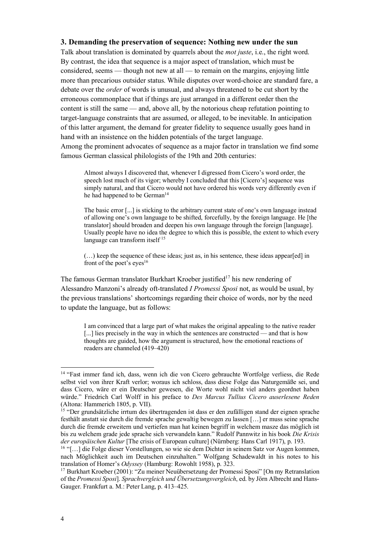## **3. Demanding the preservation of sequence: Nothing new under the sun**

Talk about translation is dominated by quarrels about the *mot juste*, i.e., the right word. By contrast, the idea that sequence is a major aspect of translation, which must be considered, seems — though not new at all — to remain on the margins, enjoying little more than precarious outsider status. While disputes over word-choice are standard fare, a debate over the *order* of words is unusual, and always threatened to be cut short by the erroneous commonplace that if things are just arranged in a different order then the content is still the same — and, above all, by the notorious cheap refutation pointing to target-language constraints that are assumed, or alleged, to be inevitable. In anticipation of this latter argument, the demand for greater fidelity to sequence usually goes hand in hand with an insistence on the hidden potentials of the target language. Among the prominent advocates of sequence as a major factor in translation we find some famous German classical philologists of the 19th and 20th centuries:

Almost always I discovered that, whenever I digressed from Cicero's word order, the speech lost much of its vigor; whereby I concluded that this [Cicero's] sequence was simply natural, and that Cicero would not have ordered his words very differently even if he had happened to be German<sup>14</sup>

The basic error [...] is sticking to the arbitrary current state of one's own language instead of allowing one's own language to be shifted, forcefully, by the foreign language. He [the translator] should broaden and deepen his own language through the foreign [language]. Usually people have no idea the degree to which this is possible, the extent to which every language can transform itself 15

(…) keep the sequence of these ideas; just as, in his sentence, these ideas appear[ed] in front of the poet's eyes<sup>16</sup>

The famous German translator Burkhart Kroeber justified<sup>17</sup> his new rendering of Alessandro Manzoni's already oft-translated *I Promessi Sposi* not, as would be usual, by the previous translations' shortcomings regarding their choice of words, nor by the need to update the language, but as follows:

I am convinced that a large part of what makes the original appealing to the native reader [...] lies precisely in the way in which the sentences are constructed — and that is how thoughts are guided, how the argument is structured, how the emotional reactions of readers are channeled (419–420)

 <sup>14</sup> "Fast immer fand ich, dass, wenn ich die von Cicero gebrauchte Wortfolge verliess, die Rede selbst viel von ihrer Kraft verlor; woraus ich schloss, dass diese Folge das Naturgemäße sei, und dass Cicero, wäre er ein Deutscher gewesen, die Worte wohl nicht viel anders geordnet haben würde." Friedrich Carl Wolff in his preface to *Des Marcus Tullius Cicero auserlesene Reden* (Altona: Hammerich 1805, p. VII).

<sup>&</sup>lt;sup>15</sup> "Der grundsätzliche irrtum des übertragenden ist dass er den zufälligen stand der eignen sprache festhält anstatt sie durch die fremde sprache gewaltig bewegen zu lassen […] er muss seine sprache durch die fremde erweitern und vertiefen man hat keinen begriff in welchem masze das möglich ist bis zu welchem grade jede sprache sich verwandeln kann." Rudolf Pannwitz in his book *Die Krisis der europäischen Kultur* [The crisis of European culture] (Nürnberg: Hans Carl 1917), p. 193.

<sup>&</sup>lt;sup>16</sup> "[...] die Folge dieser Vorstellungen, so wie sie dem Dichter in seinem Satz vor Augen kommen, nach Möglichkeit auch im Deutschen einzuhalten." Wolfgang Schadewaldt in his notes to his translation of Homer's *Odyssey* (Hamburg: Rowohlt 1958), p. 323.

<sup>17</sup> Burkhart Kroeber (2001): "Zu meiner Neuübersetzung der Promessi Sposi" [On my Retranslation of the *Promessi Sposi*]. *Sprachvergleich und Übersetzungsvergleich*, ed. by Jörn Albrecht and Hans-Gauger. Frankfurt a. M.: Peter Lang, p. 413–425.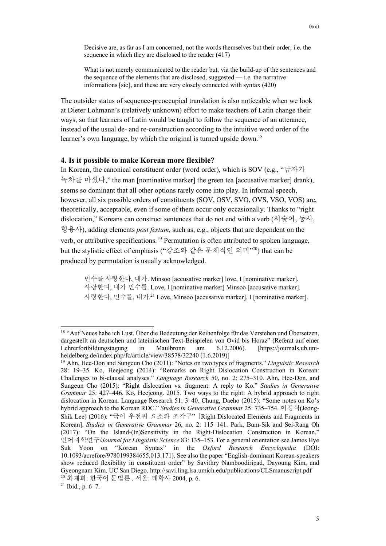Decisive are, as far as I am concerned, not the words themselves but their order, i.e. the sequence in which they are disclosed to the reader (417)

What is not merely communicated to the reader but, via the build-up of the sentences and the sequence of the elements that are disclosed, suggested — i.e. the narrative informations [sic], and these are very closely connected with syntax (420)

The outsider status of sequence-preoccupied translation is also noticeable when we look at Dieter Lohmann's (relatively unknown) effort to make teachers of Latin change their ways, so that learners of Latin would be taught to follow the sequence of an utterance, instead of the usual de- and re-construction according to the intuitive word order of the learner's own language, by which the original is turned upside down.<sup>18</sup>

## **4. Is it possible to make Korean more flexible?**

In Korean, the canonical constituent order (word order), which is SOV (e.g., "남자가 녹차를 마셨다," the man [nominative marker] the green tea [accusative marker] drank), seems so dominant that all other options rarely come into play. In informal speech, however, all six possible orders of constituents (SOV, OSV, SVO, OVS, VSO, VOS) are, theoretically, acceptable, even if some of them occur only occasionally. Thanks to "right dislocation," Koreans can construct sentences that do not end with a verb (서술어, 동사, 형용사), adding elements *post festum*, such as, e.g., objects that are dependent on the verb, or attributive specifications.<sup>19</sup> Permutation is often attributed to spoken language, but the stylistic effect of emphasis ("강조와 같은 문체적인 의미"20) that can be produced by permutation is usually acknowledged.

민수를 사랑한다, 내가. Minsoo [accusative marker] love, I [nominative marker]. 사랑한다, 내가 민수를. Love, I [nominative marker] Minsoo [accusative marker]. 사랑한다, 민수를, 내가. <sup>21</sup> Love, Minsoo [accusative marker], I [nominative marker].

<sup>&</sup>lt;sup>18</sup> "Auf Neues habe ich Lust. Über die Bedeutung der Reihenfolge für das Verstehen und Übersetzen, dargestellt an deutschen und lateinischen Text-Beispielen von Ovid bis Horaz" (Referat auf einer Lehrerfortbildungstagung in Maulbronn am 6.12.2006). [https://journals.ub.uniheidelberg.de/index.php/fc/article/view/38578/32240 (1.6.2019)]

<sup>19</sup> Ahn, Hee-Don and Sungeun Cho (2011): "Notes on two types of fragments." *Linguistic Research* 28: 19–35. Ko, Heejeong (2014): "Remarks on Right Dislocation Construction in Korean: Challenges to bi-clausal analyses." *Language Research* 50, no. 2: 275–310. Ahn, Hee-Don. and Sungeun Cho (2015): "Right dislocation vs. fragment: A reply to Ko." *Studies in Generative Grammar* 25: 427–446. Ko, Heejeong. 2015. Two ways to the right: A hybrid approach to right dislocation in Korean. Language Research 51: 3–40. Chung, Daeho (2015): "Some notes on Ko's hybrid approach to the Korean RDC." *Studies in Generative Grammar* 25: 735–754. 이정식(Jeong-Shik Lee) (2016): "국어 우전위 요소와 조각구" [Right Dislocated Elements and Fragments in Korean]. *Studies in Generative Grammar* 26, no. 2: 115–141. Park, Bum-Sik and Sei-Rang Oh (2017): "On the Island-(In)Sensitivity in the Right-Dislocation Construction in Korean." 언어과학연구/*Journal for Linguistic Science* 83: 135–153. For a general orientation see James Hye Suk Yoon on "Korean Syntax" in the *Oxford Research Encyclopedia* (DOI: 10.1093/acrefore/9780199384655.013.171). See also the paper "English-dominant Korean-speakers show reduced flexibility in constituent order" by Savithry Namboodiripad, Dayoung Kim, and Gyeongnam Kim. UC San Diego. http://savi.ling.lsa.umich.edu/publications/CLSmanuscript.pdf <sup>20</sup> 최재희: 한국어 문법론 . 서울: 태학사 2004, p. 6.

 $21$  Ibid., p. 6–7.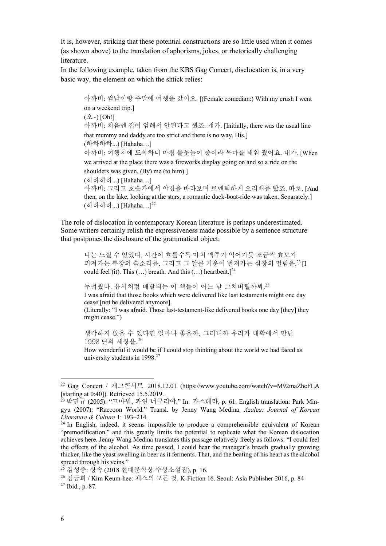It is, however, striking that these potential constructions are so little used when it comes (as shown above) to the translation of aphorisms, jokes, or rhetorically challenging **literature** 

In the following example, taken from the KBS Gag Concert, disclocation is, in a very basic way, the element on which the shtick relies:

아까비: 썸남이랑 주말에 여행을 갔어요. [(Female comedian:) With my crush I went on a weekend trip.] (오~) [Oh!] 아까비: 처음엔 집이 엄해서 안된다고 했죠. 걔가. [Initially, there was the usual line that mummy and daddy are too strict and there is no way. His.] (하하하하...) [Hahaha…] 아까비: 여행지에 도착하니 마침 불꽃놀이 중이라 목마를 태워 줬어요. 내가. [When we arrived at the place there was a fireworks display going on and so a ride on the shoulders was given. (By) me (to him).] (하하하하...) [Hahaha…] 아까비: 그리고 호숫가에서 야경을 바라보며 로맨틱하게 오리배를 탔죠. 따로. [And then, on the lake, looking at the stars, a romantic duck-boat-ride was taken. Separately.] (하하하하...) [Hahaha…]22

The role of dislocation in contemporary Korean literature is perhaps underestimated. Some writers certainly relish the expressiveness made possible by a sentence structure that postpones the disclosure of the grammatical object:

나는 느낄 수 있었다. 시간이 흐를수록 마치 맥주가 익어가듯 조금씩 효모가 퍼져가는 부장의 숨소리를. 그리고 그 알콜 기운이 번져가는 심장의 떨림을.<sup>23</sup>[I could feel (it). This  $(...)$  breath. And this  $(...)$  heartbeat.]<sup>24</sup>

두려웠다. 유서처럼 배달되는 이 책들이 어느 날 그쳐버릴까봐. 25 I was afraid that those books which were delivered like last testaments might one day cease [not be delivered anymore].

(Literally: "I was afraid. Those last-testament-like delivered books one day [they] they might cease.")

생각하지 않을 수 있다면 얼마나 좋을까. 그러니까 우리가 대학에서 만난 1998 년의 세상을. 26

How wonderful it would be if I could stop thinking about the world we had faced as university students in 1998.27

 <sup>22</sup> Gag Concert / 개그콘서트 2018.12.01 (https://www.youtube.com/watch?v=M92maZhcFLA [starting at 0:40]). Retrieved 15.5.2019.

<sup>23</sup> 박민규 (2005): "고마워, 과연 너구리야." In: 카스테라, p. 61. English translation: Park Mingyu (2007): "Raccoon World." Transl. by Jenny Wang Medina. *Azalea: Journal of Korean Literature & Culture* 1: 193–214.

<sup>&</sup>lt;sup>24</sup> In English, indeed, it seems impossible to produce a comprehensible equivalent of Korean "premodification," and this greatly limits the potential to replicate what the Korean dislocation achieves here. Jenny Wang Medina translates this passage relatively freely as follows: "I could feel the effects of the alcohol. As time passed, I could hear the manager's breath gradually growing thicker, like the yeast swelling in beer as it ferments. That, and the beating of his heart as the alcohol

spread through his veins." 25 김성중: 상속 (2018 현대문학상 수상소설집), p. 16.

<sup>26</sup> 김금희 / Kim Keum-hee: 체스의 모든 것. K-Fiction 16. Seoul: Asia Publisher 2016, p. 84 <sup>27</sup> Ibid., p. 87.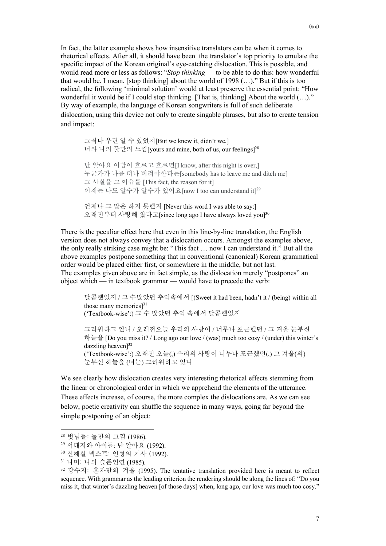In fact, the latter example shows how insensitive translators can be when it comes to rhetorical effects. After all, it should have been the translator's top priority to emulate the specific impact of the Korean original's eye-catching dislocation. This is possible, and would read more or less as follows: "*Stop thinking* — to be able to do this: how wonderful that would be. I mean, [stop thinking] about the world of 1998 (…)." But if this is too radical, the following 'minimal solution' would at least preserve the essential point: "How wonderful it would be if I could stop thinking. [That is, thinking] About the world  $(...)$ ." By way of example, the language of Korean songwriters is full of such deliberate dislocation, using this device not only to create singable phrases, but also to create tension and impact:

그러나 우린 알 수 있었지[But we knew it, didn't we,] 너와 나의 둘만의 느낌[yours and mine, both of us, our feelings]28 난 알아요 이밤이 흐르고 흐르면[I know, after this night is over,] 누군가가 나를 떠나 버려야한다는[somebody has to leave me and ditch me] 그 사실을 그 이유를 [This fact, the reason for it] 이제는 나도 알수가 알수가 있어요[now I too can understand it]29 언제나 그 말은 하지 못했지 [Never this word I was able to say:]

오래전부터 사랑해 왔다고[since long ago I have always loved you] 30

There is the peculiar effect here that even in this line-by-line translation, the English version does not always convey that a dislocation occurs. Amongst the examples above, the only really striking case might be: "This fact … now I can understand it." But all the above examples postpone something that in conventional (canonical) Korean grammatical order would be placed either first, or somewhere in the middle, but not last. The examples given above are in fact simple, as the dislocation merely "postpones" an object which — in textbook grammar — would have to precede the verb:

달콤했었지 / 그 수많았던 추억속에서 [(Sweet it had been, hadn't it / (being) within all those many memories $]^{31}$ ('Textbook-wise':) 그 수 많았던 추억 속에서 달콤했었지

그리워하고 있니 / 오래전오늘 우리의 사랑이 / 너무나 포근했던 / 그 겨울 눈부신 하늘을 [Do you miss it? / Long ago our love / (was) much too cosy / (under) this winter's dazzling heaven<sup>[32</sup>] ('Textbook-wise':) 오래전 오늘(,) 우리의 사랑이 너무나 포근했던(,) 그 겨울(의) 눈부신 하늘을 (너는) 그리워하고 있니

We see clearly how dislocation creates very interesting rhetorical effects stemming from the linear or chronological order in which we apprehend the elements of the utterance. These effects increase, of course, the more complex the dislocations are. As we can see below, poetic creativity can shuffle the sequence in many ways, going far beyond the simple postponing of an object:

 <sup>28</sup> 벗님들: 둘만의 그낌 (1986).

<sup>29</sup> 서태지와 아이들: 난 알아요 (1992).

<sup>30</sup> 신해철 넥스트: 인형의 기사 (1992).

<sup>31</sup> 나미: 나의 슬픈인연 (1985).

<sup>32</sup> 강수지: 혼자만의 겨울 (1995). The tentative translation provided here is meant to reflect sequence. With grammar as the leading criterion the rendering should be along the lines of: "Do you miss it, that winter's dazzling heaven [of those days] when, long ago, our love was much too cosy."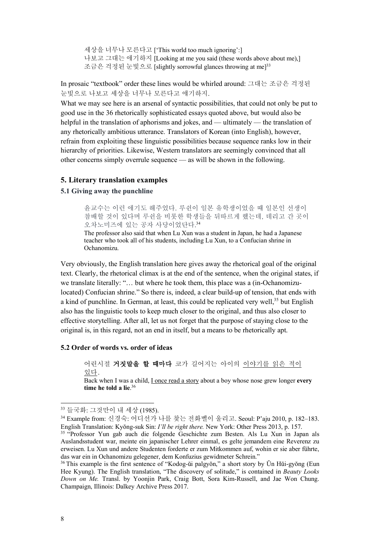세상을 너무나 모른다고 ['This world too much ignoring':] 나보고 그대는 얘기하지 [Looking at me you said (these words above about me),] 조금은 걱정된 눈빛으로 [slightly sorrowful glances throwing at me]33

In prosaic "textbook" order these lines would be whirled around: 그대는 조금은 걱정된 눈빛으로 나보고 세상을 너무나 모른다고 얘기하지.

What we may see here is an arsenal of syntactic possibilities, that could not only be put to good use in the 36 rhetorically sophisticated essays quoted above, but would also be helpful in the translation of aphorisms and jokes, and — ultimately — the translation of any rhetorically ambitious utterance. Translators of Korean (into English), however, refrain from exploiting these linguistic possibilities because sequence ranks low in their hierarchy of priorities. Likewise, Western translators are seemingly convinced that all other concerns simply overrule sequence — as will be shown in the following.

## **5. Literary translation examples**

#### **5.1 Giving away the punchline**

윤교수는 이런 얘기도 해주었다. 루쉰이 일본 유학생이었을 때 일본인 선생이 참배할 것이 있다며 루쉰을 비롯한 학생들을 뒤따르게 했는데, 데리고 간 곳이 오차노미즈에 있는 공자 사당이었단다. 34

The professor also said that when Lu Xun was a student in Japan, he had a Japanese teacher who took all of his students, including Lu Xun, to a Confucian shrine in Ochanomizu.

Very obviously, the English translation here gives away the rhetorical goal of the original text. Clearly, the rhetorical climax is at the end of the sentence, when the original states, if we translate literally: "… but where he took them, this place was a (in-Ochanomizulocated) Confucian shrine." So there is, indeed, a clear build-up of tension, that ends with a kind of punchline. In German, at least, this could be replicated very well,<sup>35</sup> but English also has the linguistic tools to keep much closer to the original, and thus also closer to effective storytelling. After all, let us not forget that the purpose of staying close to the original is, in this regard, not an end in itself, but a means to be rhetorically apt.

#### **5.2 Order of words vs. order of ideas**

어린시절 거짓말을 할 때마다 코가 길어지는 아이의 이야기를 읽은 적이 있다.

Back when I was a child, I once read a story about a boy whose nose grew longer **every time he told a lie**. 36

 <sup>33</sup> 들국화: 그것만이 <sup>내</sup> 세상 (1985).

<sup>34</sup> Example from: 신경숙: 어디선가 나를 찾는 전화벨이 울리고. Seoul: P'aju 2010, p. 182–183. English Translation: Kyŏng-suk Sin: *I'll be right there.* New York: Other Press 2013, p. 157.

<sup>&</sup>lt;sup>35</sup> "Professor Yun gab auch die folgende Geschichte zum Besten. Als Lu Xun in Japan als Auslandsstudent war, meinte ein japanischer Lehrer einmal, es gelte jemandem eine Reverenz zu erweisen. Lu Xun und andere Studenten forderte er zum Mitkommen auf, wohin er sie aber führte, das war ein in Ochanomizu gelegener, dem Konfuzius gewidmeter Schrein."

<sup>&</sup>lt;sup>36</sup> This example is the first sentence of "Kodog-ŭi palgyŏn," a short story by Ŭn Hŭi-gyŏng (Eun Hee Kyung). The English translation, "The discovery of solitude," is contained in *Beauty Looks Down on Me.* Transl. by Yoonjin Park, Craig Bott, Sora Kim-Russell, and Jae Won Chung. Champaign, Illinois: Dalkey Archive Press 2017.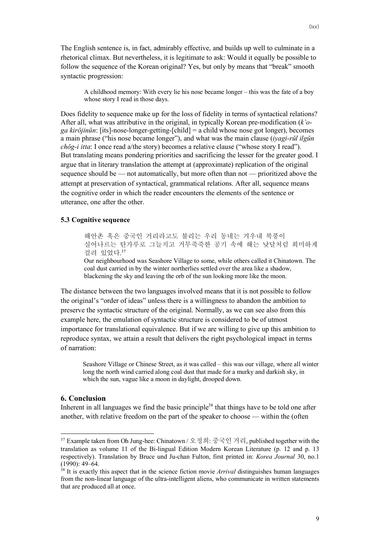A childhood memory: With every lie his nose became longer – this was the fate of a boy whose story I read in those days.

Does fidelity to sequence make up for the loss of fidelity in terms of syntactical relations? After all, what was attributive in the original, in typically Korean pre-modification (*k'oga kirŏjinŭn*: [its]-nose-longer-getting-[child] = a child whose nose got longer), becomes a main phrase ("his nose became longer"), and what was the main clause (*iyagi-rŭl ilgŭn chŏg-i itta*: I once read a/the story) becomes a relative clause ("whose story I read"). But translating means pondering priorities and sacrificing the lesser for the greater good. I argue that in literary translation the attempt at (approximate) replication of the original sequence should be — not automatically, but more often than not — prioritized above the attempt at preservation of syntactical, grammatical relations. After all, sequence means the cognitive order in which the reader encounters the elements of the sentence or utterance, one after the other.

### **5.3 Cognitive sequence**

해안촌 혹은 중국인 거리라고도 불리는 우리 동네는 겨우내 북풍이 실어나르는 탄가루로 그늘지고 거무죽죽한 공기 속에 해는 낮달처럼 희미하게 걸려 있었다. 37

Our neighbourhood was Seashore Village to some, while others called it Chinatown. The coal dust carried in by the winter northerlies settled over the area like a shadow, blackening the sky and leaving the orb of the sun looking more like the moon.

The distance between the two languages involved means that it is not possible to follow the original's "order of ideas" unless there is a willingness to abandon the ambition to preserve the syntactic structure of the original. Normally, as we can see also from this example here, the emulation of syntactic structure is considered to be of utmost importance for translational equivalence. But if we are willing to give up this ambition to reproduce syntax, we attain a result that delivers the right psychological impact in terms of narration:

Seashore Village or Chinese Street, as it was called – this was our village, where all winter long the north wind carried along coal dust that made for a murky and darkish sky, in which the sun, vague like a moon in daylight, drooped down.

## **6. Conclusion**

Inherent in all languages we find the basic principle<sup>38</sup> that things have to be told one after another, with relative freedom on the part of the speaker to choose — within the (often

 <sup>37</sup> Example taken from Oh Jung-hee: Chinatown / 오정희: 중국인 거리, published together with the translation as volume 11 of the Bi-lingual Edition Modern Korean Literature (p. 12 and p. 13 respectively). Translation by Bruce und Ju-chan Fulton, first printed in: *Korea Journal* 30, no.1 (1990): 49–64.

<sup>38</sup> It is exactly this aspect that in the science fiction movie *Arrival* distinguishes human languages from the non-linear language of the ultra-intelligent aliens, who communicate in written statements that are produced all at once.